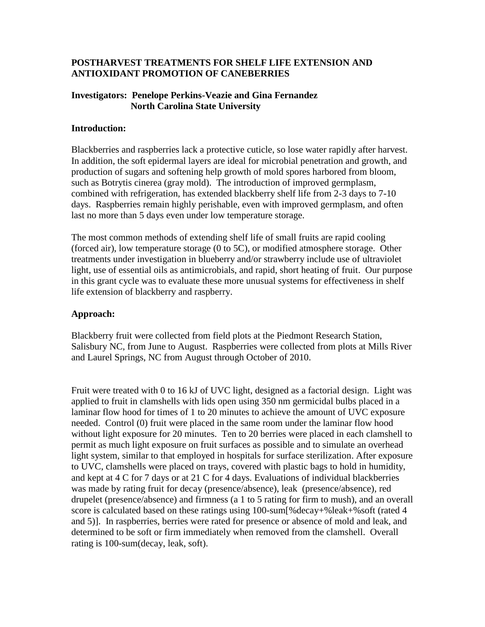## **POSTHARVEST TREATMENTS FOR SHELF LIFE EXTENSION AND ANTIOXIDANT PROMOTION OF CANEBERRIES**

#### **Investigators: Penelope Perkins-Veazie and Gina Fernandez North Carolina State University**

#### **Introduction:**

Blackberries and raspberries lack a protective cuticle, so lose water rapidly after harvest. In addition, the soft epidermal layers are ideal for microbial penetration and growth, and production of sugars and softening help growth of mold spores harbored from bloom, such as Botrytis cinerea (gray mold). The introduction of improved germplasm, combined with refrigeration, has extended blackberry shelf life from 2-3 days to 7-10 days. Raspberries remain highly perishable, even with improved germplasm, and often last no more than 5 days even under low temperature storage.

The most common methods of extending shelf life of small fruits are rapid cooling (forced air), low temperature storage (0 to 5C), or modified atmosphere storage. Other treatments under investigation in blueberry and/or strawberry include use of ultraviolet light, use of essential oils as antimicrobials, and rapid, short heating of fruit. Our purpose in this grant cycle was to evaluate these more unusual systems for effectiveness in shelf life extension of blackberry and raspberry.

## **Approach:**

Blackberry fruit were collected from field plots at the Piedmont Research Station, Salisbury NC, from June to August. Raspberries were collected from plots at Mills River and Laurel Springs, NC from August through October of 2010.

Fruit were treated with 0 to 16 kJ of UVC light, designed as a factorial design. Light was applied to fruit in clamshells with lids open using 350 nm germicidal bulbs placed in a laminar flow hood for times of 1 to 20 minutes to achieve the amount of UVC exposure needed. Control (0) fruit were placed in the same room under the laminar flow hood without light exposure for 20 minutes. Ten to 20 berries were placed in each clamshell to permit as much light exposure on fruit surfaces as possible and to simulate an overhead light system, similar to that employed in hospitals for surface sterilization. After exposure to UVC, clamshells were placed on trays, covered with plastic bags to hold in humidity, and kept at 4 C for 7 days or at 21 C for 4 days. Evaluations of individual blackberries was made by rating fruit for decay (presence/absence), leak (presence/absence), red drupelet (presence/absence) and firmness (a 1 to 5 rating for firm to mush), and an overall score is calculated based on these ratings using 100-sum[%decay+%leak+%soft (rated 4 and 5)]. In raspberries, berries were rated for presence or absence of mold and leak, and determined to be soft or firm immediately when removed from the clamshell. Overall rating is 100-sum(decay, leak, soft).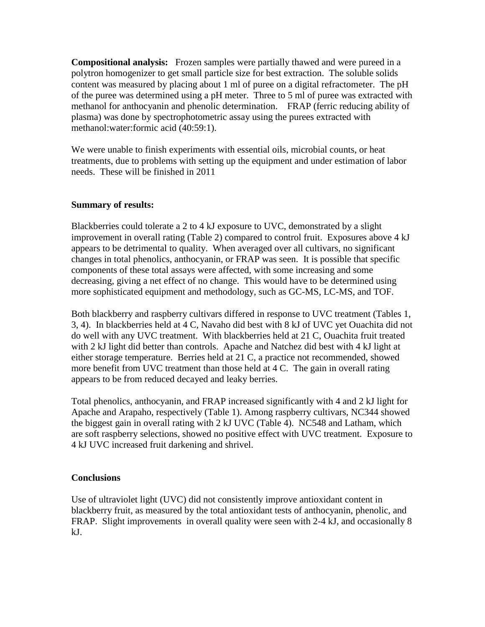**Compositional analysis:** Frozen samples were partially thawed and were pureed in a polytron homogenizer to get small particle size for best extraction. The soluble solids content was measured by placing about 1 ml of puree on a digital refractometer. The pH of the puree was determined using a pH meter. Three to 5 ml of puree was extracted with methanol for anthocyanin and phenolic determination. FRAP (ferric reducing ability of plasma) was done by spectrophotometric assay using the purees extracted with methanol:water:formic acid (40:59:1).

We were unable to finish experiments with essential oils, microbial counts, or heat treatments, due to problems with setting up the equipment and under estimation of labor needs. These will be finished in 2011

#### **Summary of results:**

Blackberries could tolerate a 2 to 4 kJ exposure to UVC, demonstrated by a slight improvement in overall rating (Table 2) compared to control fruit. Exposures above 4 kJ appears to be detrimental to quality. When averaged over all cultivars, no significant changes in total phenolics, anthocyanin, or FRAP was seen. It is possible that specific components of these total assays were affected, with some increasing and some decreasing, giving a net effect of no change. This would have to be determined using more sophisticated equipment and methodology, such as GC-MS, LC-MS, and TOF.

Both blackberry and raspberry cultivars differed in response to UVC treatment (Tables 1, 3, 4). In blackberries held at 4 C, Navaho did best with 8 kJ of UVC yet Ouachita did not do well with any UVC treatment. With blackberries held at 21 C, Ouachita fruit treated with 2 kJ light did better than controls. Apache and Natchez did best with 4 kJ light at either storage temperature. Berries held at 21 C, a practice not recommended, showed more benefit from UVC treatment than those held at 4 C. The gain in overall rating appears to be from reduced decayed and leaky berries.

Total phenolics, anthocyanin, and FRAP increased significantly with 4 and 2 kJ light for Apache and Arapaho, respectively (Table 1). Among raspberry cultivars, NC344 showed the biggest gain in overall rating with 2 kJ UVC (Table 4). NC548 and Latham, which are soft raspberry selections, showed no positive effect with UVC treatment. Exposure to 4 kJ UVC increased fruit darkening and shrivel.

# **Conclusions**

Use of ultraviolet light (UVC) did not consistently improve antioxidant content in blackberry fruit, as measured by the total antioxidant tests of anthocyanin, phenolic, and FRAP. Slight improvements in overall quality were seen with 2-4 kJ, and occasionally 8 kJ.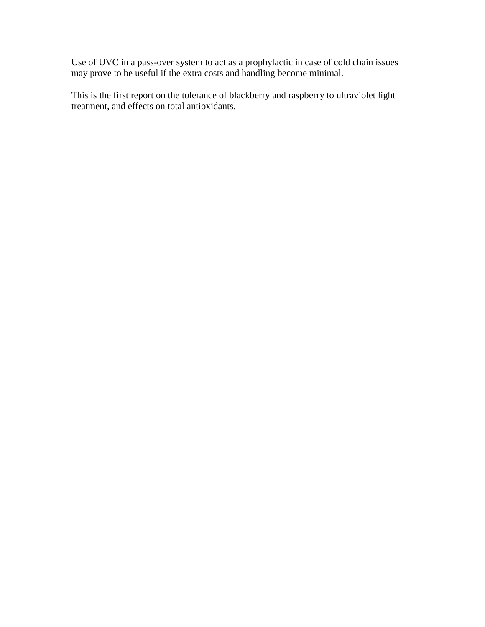Use of UVC in a pass-over system to act as a prophylactic in case of cold chain issues may prove to be useful if the extra costs and handling become minimal.

This is the first report on the tolerance of blackberry and raspberry to ultraviolet light treatment, and effects on total antioxidants.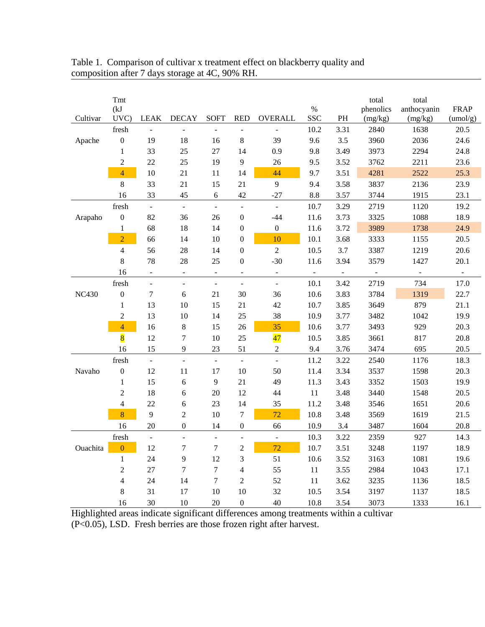|              | Tmt<br>(kJ)             |                          |                          |                          |                          |                          | $\%$            |                          | total<br>phenolics       | total<br>anthocyanin     | <b>FRAP</b>              |
|--------------|-------------------------|--------------------------|--------------------------|--------------------------|--------------------------|--------------------------|-----------------|--------------------------|--------------------------|--------------------------|--------------------------|
| Cultivar     | UVC)                    | <b>LEAK</b>              | <b>DECAY</b>             | <b>SOFT</b>              | <b>RED</b>               | <b>OVERALL</b>           | <b>SSC</b>      | PH                       | (mg/kg)                  | (mg/kg)                  | (umol/g)                 |
|              | fresh                   |                          |                          |                          | $\blacksquare$           | $\blacksquare$           | 10.2            | 3.31                     | 2840                     | 1638                     | 20.5                     |
| Apache       | $\boldsymbol{0}$        | 19                       | 18                       | 16                       | $8\,$                    | 39                       | 9.6             | 3.5                      | 3960                     | 2036                     | 24.6                     |
|              | $\mathbf{1}$            | 33                       | 25                       | $27\,$                   | 14                       | 0.9                      | 9.8             | 3.49                     | 3973                     | 2294                     | 24.8                     |
|              | $\overline{c}$          | 22                       | 25                       | 19                       | 9                        | 26                       | 9.5             | 3.52                     | 3762                     | 2211                     | 23.6                     |
|              | $\overline{4}$          | $10\,$                   | 21                       | 11                       | 14                       | 44                       | 9.7             | 3.51                     | 4281                     | 2522                     | 25.3                     |
|              | 8                       | 33                       | 21                       | 15                       | 21                       | 9                        | 9.4             | 3.58                     | 3837                     | 2136                     | 23.9                     |
|              | 16                      | 33                       | 45                       | 6                        | 42                       | $-27$                    | $\!\!\!\!\!8.8$ | 3.57                     | 3744                     | 1915                     | 23.1                     |
|              | fresh                   | $\omega$                 | $\blacksquare$           | $\blacksquare$           | $\blacksquare$           | $\overline{\phantom{a}}$ | 10.7            | 3.29                     | 2719                     | 1120                     | 19.2                     |
| Arapaho      | $\boldsymbol{0}$        | 82                       | 36                       | 26                       | $\boldsymbol{0}$         | $-44$                    | 11.6            | 3.73                     | 3325                     | 1088                     | 18.9                     |
|              | $\mathbf{1}$            | 68                       | 18                       | 14                       | $\boldsymbol{0}$         | $\boldsymbol{0}$         | 11.6            | 3.72                     | 3989                     | 1738                     | 24.9                     |
|              | $\overline{2}$          | 66                       | 14                       | $10\,$                   | $\boldsymbol{0}$         | 10                       | 10.1            | 3.68                     | 3333                     | 1155                     | 20.5                     |
|              | 4                       | 56                       | 28                       | 14                       | $\boldsymbol{0}$         | $\overline{c}$           | 10.5            | 3.7                      | 3387                     | 1219                     | 20.6                     |
|              | 8                       | 78                       | 28                       | 25                       | $\boldsymbol{0}$         | $-30$                    | 11.6            | 3.94                     | 3579                     | 1427                     | 20.1                     |
|              | 16                      | $\overline{\phantom{a}}$ | $\overline{\phantom{a}}$ | $\blacksquare$           | $\overline{\phantom{a}}$ | $\blacksquare$           | $\blacksquare$  | $\overline{\phantom{a}}$ | $\overline{\phantom{a}}$ | $\overline{\phantom{a}}$ | $\overline{\phantom{a}}$ |
|              | fresh                   | $\overline{\phantom{a}}$ | $\overline{\phantom{a}}$ | $\overline{\phantom{a}}$ | $\blacksquare$           | $\equiv$                 | 10.1            | 3.42                     | 2719                     | 734                      | 17.0                     |
| <b>NC430</b> | $\boldsymbol{0}$        | $\tau$                   | 6                        | 21                       | 30                       | 36                       | 10.6            | 3.83                     | 3784                     | 1319                     | 22.7                     |
|              | $\mathbf{1}$            | 13                       | 10                       | 15                       | 21                       | 42                       | 10.7            | 3.85                     | 3649                     | 879                      | 21.1                     |
|              | 2                       | 13                       | 10                       | 14                       | 25                       | 38                       | 10.9            | 3.77                     | 3482                     | 1042                     | 19.9                     |
|              | $\overline{\mathbf{4}}$ | 16                       | 8                        | 15                       | 26                       | 35                       | 10.6            | 3.77                     | 3493                     | 929                      | 20.3                     |
|              | $\overline{\mathbf{8}}$ | 12                       | 7                        | 10                       | 25                       | $\overline{47}$          | 10.5            | 3.85                     | 3661                     | 817                      | 20.8                     |
|              | 16                      | 15                       | $\overline{9}$           | 23                       | 51                       | $\overline{c}$           | 9.4             | 3.76                     | 3474                     | 695                      | 20.5                     |
|              | fresh                   | $\Box$                   | $\overline{\phantom{a}}$ | $\overline{\phantom{a}}$ | $\Box$                   | $\bar{\phantom{a}}$      | 11.2            | 3.22                     | 2540                     | 1176                     | 18.3                     |
| Navaho       | $\boldsymbol{0}$        | 12                       | 11                       | 17                       | $10\,$                   | 50                       | 11.4            | 3.34                     | 3537                     | 1598                     | 20.3                     |
|              | 1                       | 15                       | 6                        | $\overline{9}$           | 21                       | 49                       | 11.3            | 3.43                     | 3352                     | 1503                     | 19.9                     |
|              | $\overline{2}$          | 18                       | 6                        | 20                       | 12                       | 44                       | 11              | 3.48                     | 3440                     | 1548                     | 20.5                     |
|              | 4                       | 22                       | 6                        | 23                       | 14                       | 35                       | 11.2            | 3.48                     | 3546                     | 1651                     | 20.6                     |
|              | 8                       | 9                        | $\overline{c}$           | $10\,$                   | $\overline{7}$           | 72                       | 10.8            | 3.48                     | 3569                     | 1619                     | 21.5                     |
|              | 16                      | 20                       | $\boldsymbol{0}$         | 14                       | $\boldsymbol{0}$         | 66                       | 10.9            | 3.4                      | 3487                     | 1604                     | 20.8                     |
|              | fresh                   | $\frac{1}{2}$            | $\overline{a}$           | $\overline{a}$           | $\overline{a}$           | $\Box$                   | 10.3            | 3.22                     | 2359                     | 927                      | 14.3                     |
| Ouachita     | $\boldsymbol{0}$        | 12                       | $\boldsymbol{7}$         | $\boldsymbol{7}$         | $\boldsymbol{2}$         | 72                       | $10.7\,$        | 3.51                     | 3248                     | 1197                     | 18.9                     |
|              | 1                       | 24                       | 9                        | 12                       | 3                        | 51                       | 10.6            | 3.52                     | 3163                     | 1081                     | 19.6                     |
|              | $\boldsymbol{2}$        | $27\,$                   | $\boldsymbol{7}$         | $\boldsymbol{7}$         | $\overline{\mathcal{L}}$ | 55                       | 11              | 3.55                     | 2984                     | 1043                     | 17.1                     |
|              | 4                       | 24                       | 14                       | $\boldsymbol{7}$         | $\overline{2}$           | 52                       | 11              | 3.62                     | 3235                     | 1136                     | 18.5                     |
|              | $\,8\,$                 | 31                       | 17                       | 10                       | $10\,$                   | 32                       | 10.5            | 3.54                     | 3197                     | 1137                     | 18.5                     |
|              | 16                      | $30\,$                   | $10\,$                   | $20\,$                   | $\boldsymbol{0}$         | $40\,$                   | 10.8            | 3.54                     | 3073                     | 1333                     | 16.1                     |

# Table 1. Comparison of cultivar x treatment effect on blackberry quality and composition after 7 days storage at 4C, 90% RH.

Highlighted areas indicate significant differences among treatments within a cultivar (P<0.05), LSD. Fresh berries are those frozen right after harvest.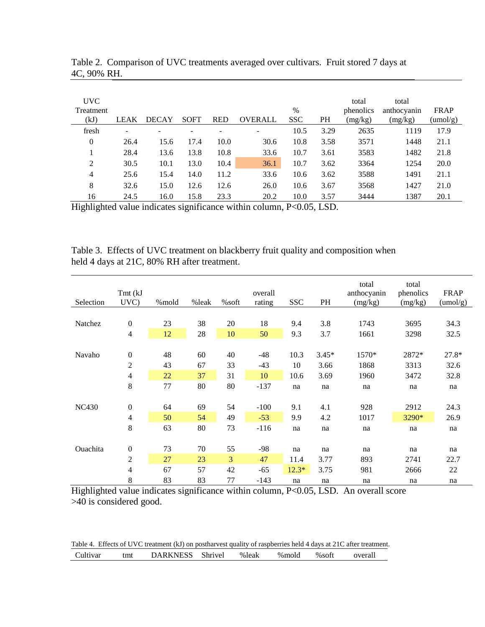| UVC<br><b>Treatment</b><br>(kJ) | <b>LEAK</b> | <b>DECAY</b> | <b>SOFT</b> | <b>RED</b> | <b>OVERALL</b> | $\%$<br><b>SSC</b> | <b>PH</b> | total<br>phenolics<br>(mg/kg) | total<br>anthocyanin<br>(mg/kg) | <b>FRAP</b><br>(umol/g) |
|---------------------------------|-------------|--------------|-------------|------------|----------------|--------------------|-----------|-------------------------------|---------------------------------|-------------------------|
| fresh                           |             |              |             |            |                | 10.5               | 3.29      | 2635                          | 1119                            | 17.9                    |
| $\theta$                        | 26.4        | 15.6         | 17.4        | 10.0       | 30.6           | 10.8               | 3.58      | 3571                          | 1448                            | 21.1                    |
|                                 | 28.4        | 13.6         | 13.8        | 10.8       | 33.6           | 10.7               | 3.61      | 3583                          | 1482                            | 21.8                    |
| 2                               | 30.5        | 10.1         | 13.0        | 10.4       | 36.1           | 10.7               | 3.62      | 3364                          | 1254                            | 20.0                    |
| 4                               | 25.6        | 15.4         | 14.0        | 11.2       | 33.6           | 10.6               | 3.62      | 3588                          | 1491                            | 21.1                    |
| 8                               | 32.6        | 15.0         | 12.6        | 12.6       | 26.0           | 10.6               | 3.67      | 3568                          | 1427                            | 21.0                    |
| 16                              | 24.5        | 16.0         | 15.8        | 23.3       | 20.2           | 10.0               | 3.57      | 3444                          | 1387                            | 20.1                    |

Table 2. Comparison of UVC treatments averaged over cultivars. Fruit stored 7 days at 4C, 90% RH.

Highlighted value indicates significance within column, P<0.05, LSD.

Table 3. Effects of UVC treatment on blackberry fruit quality and composition when held 4 days at 21C, 80% RH after treatment.

| Selection       | Tmt (kJ<br>UVC)  | %mold | %leak | %soft | overall<br>rating | <b>SSC</b> | PH      | total<br>anthocyanin<br>(mg/kg) | total<br>phenolics<br>(mg/kg) | <b>FRAP</b><br>(umol/g) |
|-----------------|------------------|-------|-------|-------|-------------------|------------|---------|---------------------------------|-------------------------------|-------------------------|
|                 |                  |       |       |       |                   |            |         |                                 |                               |                         |
| Natchez         | $\boldsymbol{0}$ | 23    | 38    | 20    | 18                | 9.4        | 3.8     | 1743                            | 3695                          | 34.3                    |
|                 | $\overline{4}$   | 12    | 28    | 10    | 50                | 9.3        | 3.7     | 1661                            | 3298                          | 32.5                    |
|                 |                  |       |       |       |                   |            |         |                                 |                               |                         |
| Navaho          | $\boldsymbol{0}$ | 48    | 60    | 40    | $-48$             | 10.3       | $3.45*$ | 1570*                           | 2872*                         | 27.8*                   |
|                 | $\boldsymbol{2}$ | 43    | 67    | 33    | $-43$             | 10         | 3.66    | 1868                            | 3313                          | 32.6                    |
|                 | $\overline{4}$   | 22    | 37    | 31    | 10                | 10.6       | 3.69    | 1960                            | 3472                          | 32.8                    |
|                 | 8                | 77    | 80    | 80    | $-137$            | na         | na      | na                              | na                            | na                      |
|                 |                  |       |       |       |                   |            |         |                                 |                               |                         |
| <b>NC430</b>    | $\boldsymbol{0}$ | 64    | 69    | 54    | $-100$            | 9.1        | 4.1     | 928                             | 2912                          | 24.3                    |
|                 | $\overline{4}$   | 50    | 54    | 49    | $-53$             | 9.9        | 4.2     | 1017                            | 3290*                         | 26.9                    |
|                 | 8                | 63    | 80    | 73    | $-116$            | na         | na      | na                              | na                            | na                      |
|                 |                  |       |       |       |                   |            |         |                                 |                               |                         |
| <b>Ouachita</b> | $\boldsymbol{0}$ | 73    | 70    | 55    | $-98$             | na         | na      | na                              | na                            | na                      |
|                 | 2                | 27    | 23    | 3     | 47                | 11.4       | 3.77    | 893                             | 2741                          | 22.7                    |
|                 | $\overline{4}$   | 67    | 57    | 42    | $-65$             | $12.3*$    | 3.75    | 981                             | 2666                          | 22                      |
|                 | 8                | 83    | 83    | 77    | $-143$            | na         | na      | na                              | na                            | na                      |

Highlighted value indicates significance within column, P<0.05, LSD. An overall score >40 is considered good.

|          |        | Table 4. Effects of UVC treatment (kJ) on postharvest quality of raspberries held 4 days at 21C after treatment. |       |        |        |         |
|----------|--------|------------------------------------------------------------------------------------------------------------------|-------|--------|--------|---------|
| Cultivar | $t$ mt | DARKNESS Shrivel                                                                                                 | %leak | % mold | % soft | overall |